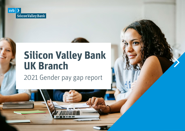

# **Silicon Valley Bank UK Branch**

2021 Gender pay gap report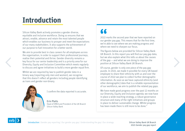### **Introduction**

Silicon Valley Bank actively promotes a gender diverse, equitable and inclusive workforce. Doing so ensures that we attract, enable, advance and retain the most talented people which enables our business to prosper and meet the expectations of our many stakeholders. It also supports the achievement of our purpose to fuel innovation for a better world.

We aim to provide best in class careers for all employees across the organisation, in order to support their professional journeys, realise their potential and thrive. Gender diversity remains a key focus for our senior leadership and is a priority area for our Diversity, Equity and Inclusion Committee which meets regularly to discuss and agree initiatives to build a more gender equal firm.

Whilst we are required by law to publish gender data in a binary way (reporting only men and women), we recognise that this doesn't reflect all genders including people identifying as trans and gender non-binary.



I confirm the data reported is accurate.

Erin Platts Head of EMEA and President of the UK Branch Silicon Valley Bank

### KK

2022 marks the second year that we have reported on our gender pay gap. This means that for the first time, we're able to see where we are making progress and where we need to sharpen our focus.

The figures below are provided for Silicon Valley Bank UK Branch. In this report you will find our pay gap data, but we also explain what this tells us about the causes of the gap  $-$  and what we are doing to improve the position at Silicon Valley Bank UK Branch.

Of course, gender is only one piece of the pay gap puzzle. In 2021, we made it possible for every UK-based employee to share their ethnicity with us and over the course of 2022 we plan to collect further demographic information. As soon as we have captured ethnicity (and other demographic) data that is a reliable representation of our workforce, we aim to publish the related pay gaps.

We have made good progress over the past 12 months on our Diversity, Equity and Inclusion agenda; we now have in place a wide-reaching strategy, a robust governance structure and many of the right initiatives and groups in place to deliver sustainable change. Whilst progress has been made there is still more to be done."

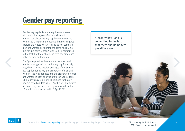## **Gender pay reporting**

Gender pay gap legislation requires employers with more than 250 staff to publish certain information about the pay gap between men and women. It is important to realise that these figures capture the whole workforce and do not compare men and women performing the same roles. On a like-for-like basis Silicon Valley Bank is committed to the fact that there should be zero pay difference between men and women.

The figures provided below show the mean and median averages of the gender pay gap for hourly pay, the mean and median averages of the gender pay gap for bonus pay, the proportion of men and women receiving bonuses and the proportion of men and women in each quartile of Silicon Valley Bank UK Branch's pay structure. The figures for hourly pay are based on data as at 5 April 2021. The figures for bonus pay are based on payments made in the 12-month reference period to 5 April 2021.

Silicon Valley Bank is committed to the fact that there should be zero pay difference





Introduction | Gender pay reporting | Our gender pay gap | Understanding the gap | Our strategy

Silicon Valley Bank UK Branch 3 2021 Gender pay gap report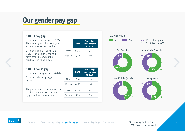## **Our gender pay gap**

Our mean gender pay gap is 9.9%. The mean figure is the average of all data when added together.

Our median gender pay gap is 23.1%. The median is the midpoint of the data when the results are in value order.

### **SVB UK bonus gap**

Our mean bonus pay gap is 26.8%.

Our median bonus pay gap is 49.0%.

The percentage of men and women receiving a bonus payment was 93.3% and 87.3% respectively.

|        | 2021  | <b>Percentage</b><br>point variance<br>to 2020 |
|--------|-------|------------------------------------------------|
| Mean   | 9.9%  | $-5.2$                                         |
| Median | 23.1% | $-1.0$                                         |
|        |       |                                                |

|        | 2021  | <b>Percentage</b><br>point variance<br>to 2020 |
|--------|-------|------------------------------------------------|
| Mean   | 26.8% | $+14.0$                                        |
| Median | 49.0% | $+16.6$                                        |
| Men    | 93.3% | $+3$                                           |
| Women  | 87.3% | -5.6                                           |





Silicon Valley Bank UK Branch 4 2021 Gender pay gap report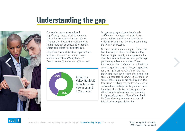### **Understanding the gap**



Our gender pay gap has reduced significantly compared with 12 months ago and now sits at under 10%. Whilst it remains well below Financial Services norms more can be done, and we remain wholly committed to closing the gap.

Like other Financial Services organisations, we have more men than women in our workforce; at Silicon Valley Bank UK Branch we are 55% men and 45% women.



Our gender pay gap shows that there is a difference in the type and level of roles performed by men and women at Silicon Valley Bank UK Branch and this is something that we are addressing.

Our pay quartile data has improved since the last time we published our UK Gender Pay Gap report, particularly in the upper middle quartile where we have seen a six percentage point swing in favour of women. These improvements have informed the reduction in our mean gender pay gap. The gap in pay that remains is primarily a reflection of the fact that we still have far more men than women in senior, higher paid roles where 66% of all our senior leadership roles are filled by men. Our focus is on rectifying the gender imbalance of our workforce and representing women more broadly at all levels. We are taking steps to attract, enable, advance and retain women in higher paid roles and Silicon Valley Bank UK Branch has implemented a number of initiatives in support of this aim.

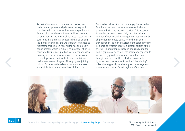As part of our annual compensation review, we undertake a rigorous analysis so we can say with confidence that our men and women are paid fairly for the roles that they do. However, like many other organisations in the Financial Services sector, we are conscious that there is a gender imbalance among the more senior roles, and we are fully committed to redressing this. Silicon Valley Bank has an objective bonus process which is subject to a number of levels of review. Bonuses are paid on a discretionary basis to recognise the achievements of the business and its employees and their collective and individual performances over the year. All employees, joining prior to October in the relevant performance year, are eligible for a bonus regardless of their role.

Our analysis shows that our bonus gap is due to the fact that more men than women received a bonus payment during the reporting period. This occurred in part because we successfully recruited a large number of women and as new joiners they were only eligible for a prorated bonus (or no bonus at all if they joined in the fourth quarter of the calendar year). Senior roles typically receive a greater portion of their overall remuneration package in bonus pay and the bonus gap data also follows the salary pay gap results where the gap is driven by more men than women being in senior roles. This is further exacerbated by more men than women in senior "client-facing" roles which typically receive higher bonus payments than those in control functions/back office roles.





Introduction | Gender pay reporting | Our gender pay gap | Understanding the gap | Our strategy

Silicon Valley Bank UK Branch 6 2021 Gender pay gap report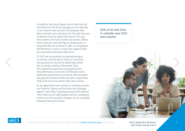In addition, the bonus figures which feed into the calculation for the bonus pay gap are not adjusted or pro-rated to take account of employees who have received a pro-rata bonus for the year because of absence (such as maternity leave) or for part time workers, the bulk of which are women. While these instances skew the figures downwards it is important that we continue to offer our employees the flexibility to work in a way that supports their personal and professional objectives.

In 2021 we set ourselves an aspirational goal to achieve a 50/50 split in both our new hires and promotions into senior leadership within the 12 months ending 31 December 2021. This aspirational goal was incorporated into the performance scorecard of UK Branch senior leadership performance scorecards. We exceeded this goal and achieved 50% and 56% respectively. 50% of all new hires within 2021 were women.

As an organisation we continue to actively promote our Diversity, Equity and Inclusion work through regular Town Halls, including quarterly DEI themed Town Halls and all staff updates and our employees continue to drive positive changes via our six global Employee Resource Groups.

50% of all new hires in calendar year 2021 were women





Introduction | Gender pay reporting | Our gender pay gap | Understanding the gap | Our strategy

Silicon Valley Bank UK Branch 7 2021 Gender pay gap report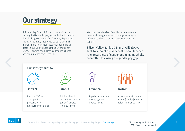### **Our strategy**

Silicon Valley Bank UK Branch is committed to closing the UK gender pay gap and takes its role in this challenge seriously. Our Diversity, Equity and Inclusion Strategy (approved by our UK Branch management committee) sets out a roadmap to position our UK business as the first choice for [gender] diverse candidates, colleagues, clients and communities across the UK.

We know that the size of our UK business means that small changes can result in big year-on-year differences when it comes to reporting our pay gap data.

Silicon Valley Bank UK Branch will always seek to appoint the very best person for each role, regardless of gender and remains wholly committed to closing the gender pay gap.

### Our strategy aims to:



Position SVB as a compelling proposition for [gender] diverse talent



Build leadership capability to enable [gender] diverse talent to thrive



**Attract Enable Advance Retain**

Rapidly develop and elevate [gender] diverse talent



Create an environment where [gender] diverse talent intends to stay



Introduction | Gender pay reporting | Our gender pay gap | Understanding the gap | Our strategy

Silicon Valley Bank UK Branch 8 2021 Gender pay gap report